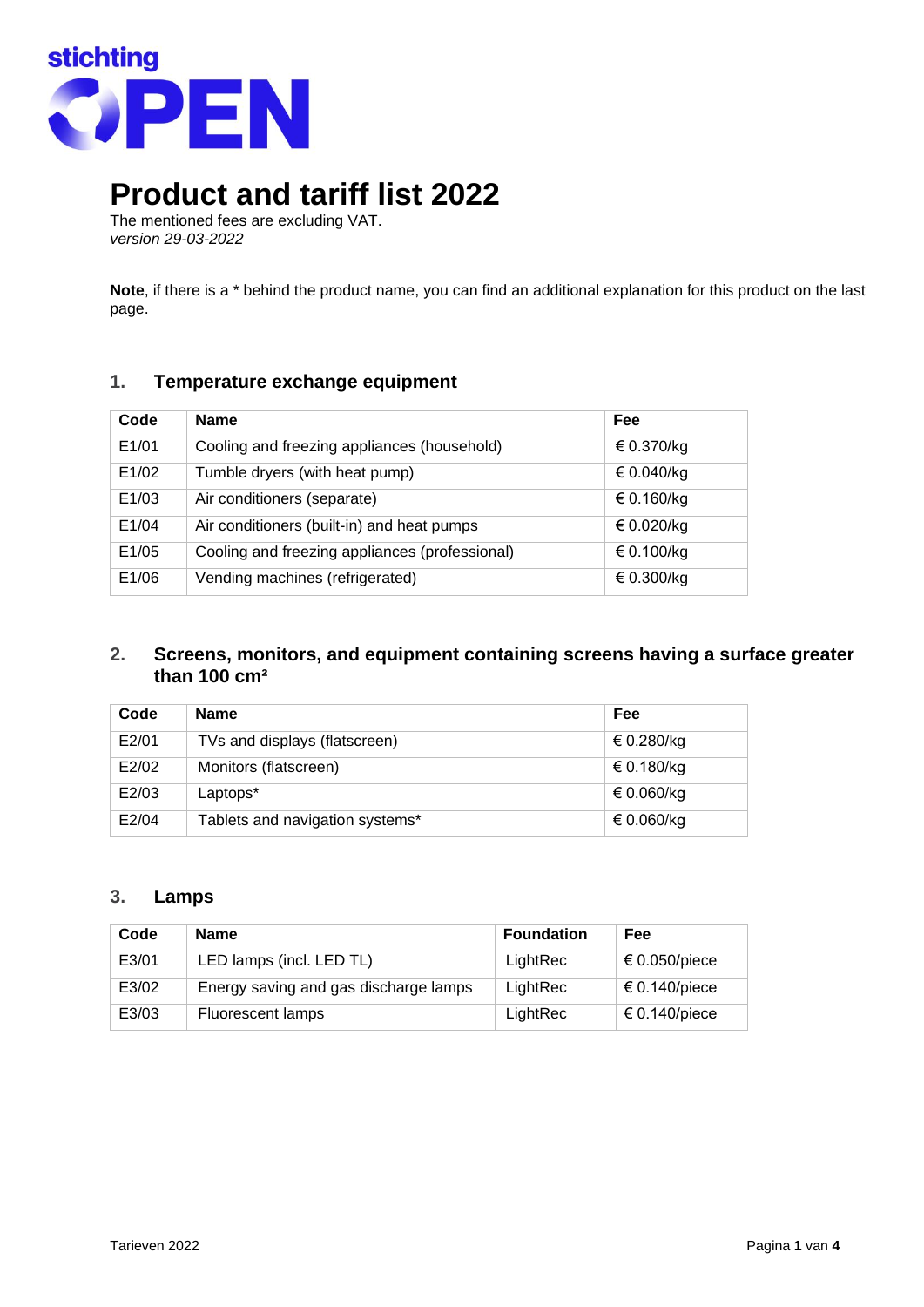

# **Product and tariff list 2022**

The mentioned fees are excluding VAT. *version 29-03-2022*

**Note**, if there is a \* behind the product name, you can find an additional explanation for this product on the last page.

# **1. Temperature exchange equipment**

| Code  | <b>Name</b>                                    | Fee        |
|-------|------------------------------------------------|------------|
| E1/01 | Cooling and freezing appliances (household)    | € 0.370/kg |
| E1/02 | Tumble dryers (with heat pump)                 | € 0.040/kg |
| E1/03 | Air conditioners (separate)                    | € 0.160/kg |
| E1/04 | Air conditioners (built-in) and heat pumps     | € 0.020/kg |
| E1/05 | Cooling and freezing appliances (professional) | € 0.100/kg |
| E1/06 | Vending machines (refrigerated)                | € 0.300/kg |

# **2. Screens, monitors, and equipment containing screens having a surface greater than 100 cm²**

| Code  | <b>Name</b>                     | Fee        |
|-------|---------------------------------|------------|
| E2/01 | TVs and displays (flatscreen)   | € 0.280/kg |
| E2/02 | Monitors (flatscreen)           | € 0.180/kg |
| E2/03 | Laptops*                        | € 0.060/kg |
| E2/04 | Tablets and navigation systems* | € 0.060/kg |

## **3. Lamps**

| Code  | <b>Name</b>                           | <b>Foundation</b> | <b>Fee</b>    |
|-------|---------------------------------------|-------------------|---------------|
| E3/01 | LED lamps (incl. LED TL)              | LightRec          | € 0.050/piece |
| E3/02 | Energy saving and gas discharge lamps | LightRec          | € 0.140/piece |
| E3/03 | Fluorescent lamps                     | LightRec          | € 0.140/piece |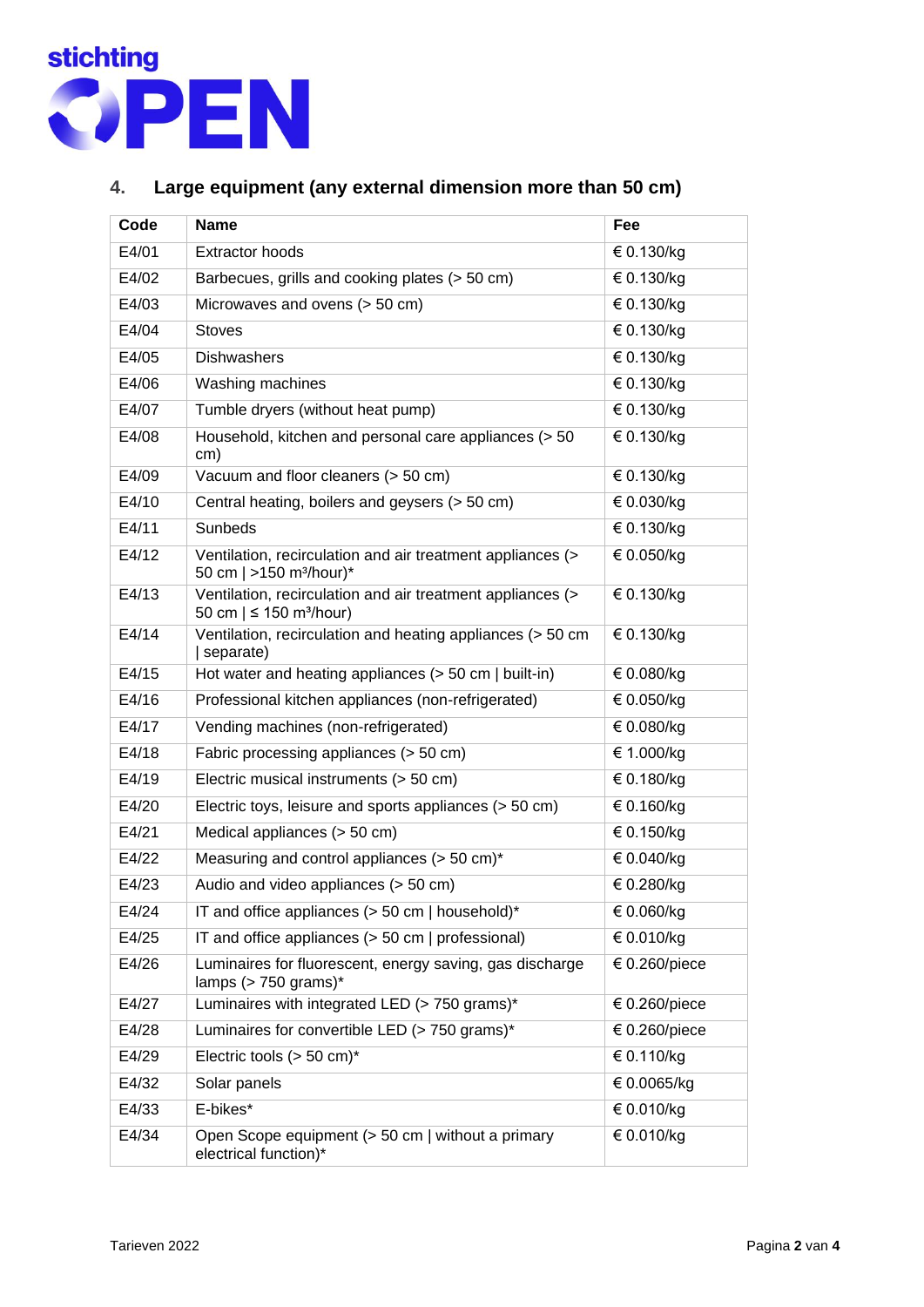

# **4. Large equipment (any external dimension more than 50 cm)**

| Code  | <b>Name</b>                                                                                            | Fee           |
|-------|--------------------------------------------------------------------------------------------------------|---------------|
| E4/01 | <b>Extractor hoods</b>                                                                                 | € 0.130/kg    |
| E4/02 | Barbecues, grills and cooking plates (> 50 cm)                                                         | € 0.130/kg    |
| E4/03 | Microwaves and ovens (> 50 cm)                                                                         | € 0.130/kg    |
| E4/04 | <b>Stoves</b>                                                                                          | € 0.130/kg    |
| E4/05 | <b>Dishwashers</b>                                                                                     | € 0.130/kg    |
| E4/06 | Washing machines                                                                                       | € 0.130/kg    |
| E4/07 | Tumble dryers (without heat pump)                                                                      | € 0.130/kg    |
| E4/08 | Household, kitchen and personal care appliances (> 50<br>cm)                                           | € 0.130/kg    |
| E4/09 | Vacuum and floor cleaners (> 50 cm)                                                                    | € 0.130/kg    |
| E4/10 | Central heating, boilers and geysers (> 50 cm)                                                         | € 0.030/kg    |
| E4/11 | Sunbeds                                                                                                | € 0.130/kg    |
| E4/12 | Ventilation, recirculation and air treatment appliances (><br>50 cm   >150 m <sup>3</sup> /hour)*      | € 0.050/kg    |
| E4/13 | Ventilation, recirculation and air treatment appliances (><br>50 cm $  \leq 150$ m <sup>3</sup> /hour) | € 0.130/kg    |
| E4/14 | Ventilation, recirculation and heating appliances (> 50 cm<br>separate)                                | € 0.130/kg    |
| E4/15 | Hot water and heating appliances $(> 50 \text{ cm }   \text{ built-in})$                               | € 0.080/kg    |
| E4/16 | Professional kitchen appliances (non-refrigerated)                                                     | € 0.050/kg    |
| E4/17 | Vending machines (non-refrigerated)                                                                    | € 0.080/kg    |
| E4/18 | Fabric processing appliances (> 50 cm)                                                                 | € 1.000/kg    |
| E4/19 | Electric musical instruments (> 50 cm)                                                                 | € 0.180/kg    |
| E4/20 | Electric toys, leisure and sports appliances (> 50 cm)                                                 | € 0.160/kg    |
| E4/21 | Medical appliances (> 50 cm)                                                                           | € 0.150/kg    |
| E4/22 | Measuring and control appliances (> 50 cm)*                                                            | € 0.040/kg    |
| E4/23 | Audio and video appliances (> 50 cm)                                                                   | € 0.280/kg    |
| E4/24 | IT and office appliances (> 50 cm   household)*                                                        | € 0.060/kg    |
| E4/25 | IT and office appliances $(> 50 \text{ cm }   \text{ professional})$                                   | € 0.010/kg    |
| E4/26 | Luminaires for fluorescent, energy saving, gas discharge<br>lamps ( $> 750$ grams)*                    | € 0.260/piece |
| E4/27 | Luminaires with integrated LED (> 750 grams)*                                                          | € 0.260/piece |
| E4/28 | Luminaires for convertible LED (> 750 grams)*                                                          | € 0.260/piece |
| E4/29 | Electric tools $(> 50 \text{ cm})^*$                                                                   | € 0.110/kg    |
| E4/32 | Solar panels                                                                                           | € 0.0065/kg   |
| E4/33 | E-bikes*                                                                                               | € 0.010/kg    |
| E4/34 | Open Scope equipment (> 50 cm   without a primary<br>electrical function)*                             | € 0.010/kg    |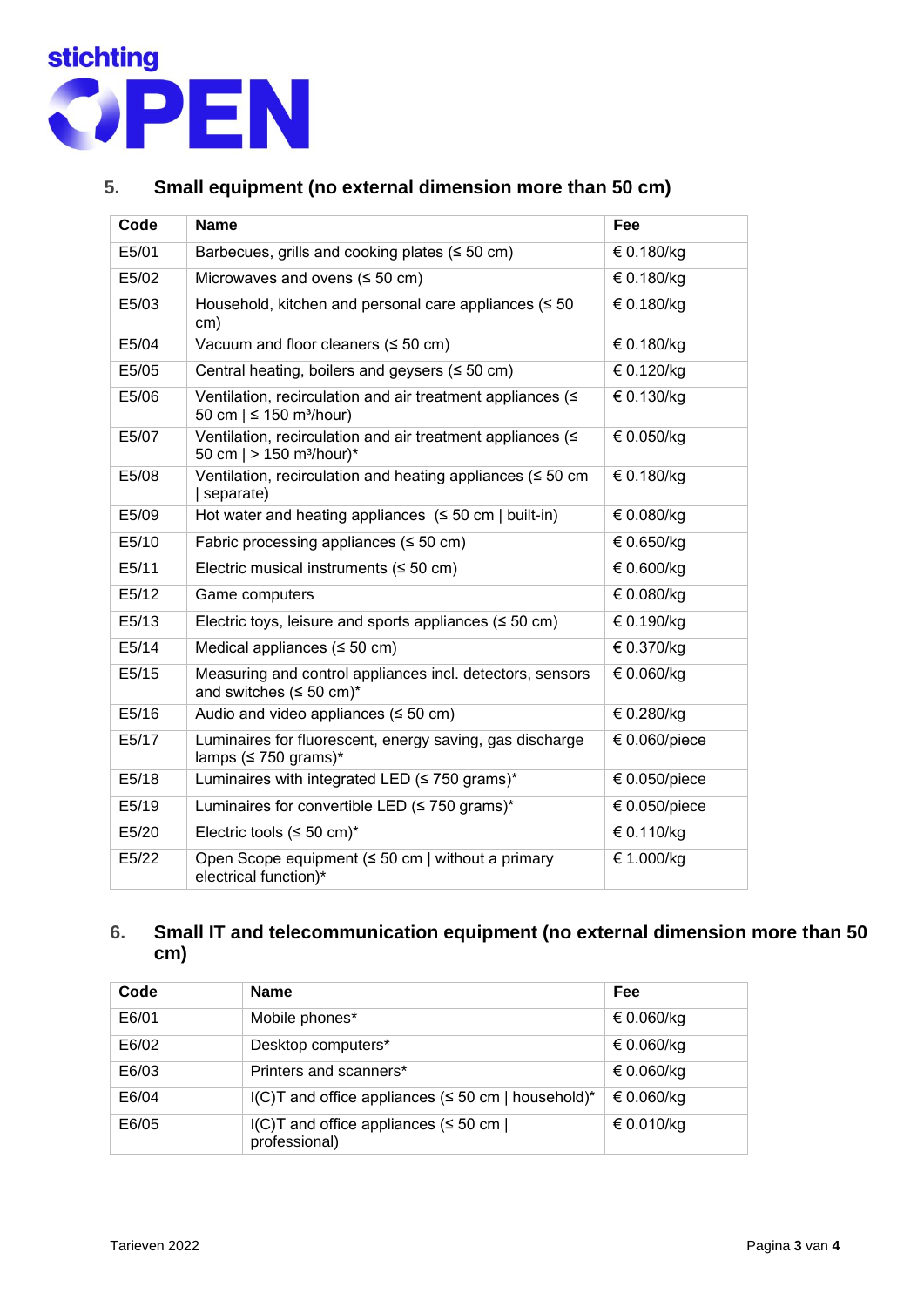

# **5. Small equipment (no external dimension more than 50 cm)**

| Code  | <b>Name</b>                                                                                            | Fee                |
|-------|--------------------------------------------------------------------------------------------------------|--------------------|
| E5/01 | Barbecues, grills and cooking plates ( $\leq 50$ cm)                                                   | € 0.180/kg         |
| E5/02 | Microwaves and ovens $(50 \text{ cm})$                                                                 | € 0.180/kg         |
| E5/03 | Household, kitchen and personal care appliances (≤ 50<br>cm)                                           | € 0.180/kg         |
| E5/04 | Vacuum and floor cleaners $(50 \text{ cm})$                                                            | € 0.180/kg         |
| E5/05 | Central heating, boilers and geysers $(50 \text{ cm})$                                                 | € 0.120/kg         |
| E5/06 | Ventilation, recirculation and air treatment appliances (≤<br>50 cm $  \leq 150$ m <sup>3</sup> /hour) | € 0.130/kg         |
| E5/07 | Ventilation, recirculation and air treatment appliances (<<br>50 cm $  > 150$ m <sup>3</sup> /hour)*   | € 0.050/kg         |
| E5/08 | Ventilation, recirculation and heating appliances (≤ 50 cm<br>separate)                                | € 0.180/kg         |
| E5/09 | Hot water and heating appliances $(50 \text{ cm})$ built-in)                                           | € 0.080/kg         |
| E5/10 | Fabric processing appliances ( $\leq 50$ cm)                                                           | € 0.650/kg         |
| E5/11 | Electric musical instruments ( $\leq 50$ cm)                                                           | € 0.600/kg         |
| E5/12 | Game computers                                                                                         | € 0.080/kg         |
| E5/13 | Electric toys, leisure and sports appliances ( $\leq 50$ cm)                                           | € 0.190/kg         |
| E5/14 | Medical appliances ( $\leq$ 50 cm)                                                                     | € 0.370/kg         |
| E5/15 | Measuring and control appliances incl. detectors, sensors<br>and switches $(\leq 50 \text{ cm})^*$     | € 0.060/kg         |
| E5/16 | Audio and video appliances $(50 \text{ cm})$                                                           | € 0.280/kg         |
| E5/17 | Luminaires for fluorescent, energy saving, gas discharge<br>lamps ( $\leq$ 750 grams)*                 | $\in 0.060$ /piece |
| E5/18 | Luminaires with integrated LED ( $\leq$ 750 grams)*                                                    | € 0.050/piece      |
| E5/19 | Luminaires for convertible LED (≤ 750 grams)*                                                          | € 0.050/piece      |
| E5/20 | Electric tools ( $\leq 50$ cm) <sup>*</sup>                                                            | € 0.110/kg         |
| E5/22 | Open Scope equipment ( $\leq 50$ cm   without a primary<br>electrical function)*                       | € 1.000/kg         |

# **6. Small IT and telecommunication equipment (no external dimension more than 50 cm)**

| Code  | <b>Name</b>                                                      | Fee        |
|-------|------------------------------------------------------------------|------------|
| E6/01 | Mobile phones*                                                   | € 0.060/kg |
| E6/02 | Desktop computers*                                               | € 0.060/kg |
| E6/03 | Printers and scanners*                                           | € 0.060/kg |
| E6/04 | $I(C)$ T and office appliances ( $\leq$ 50 cm   household)*      | € 0.060/kg |
| E6/05 | $I(C)$ T and office appliances ( $\leq 50$ cm  <br>professional) | € 0.010/kg |